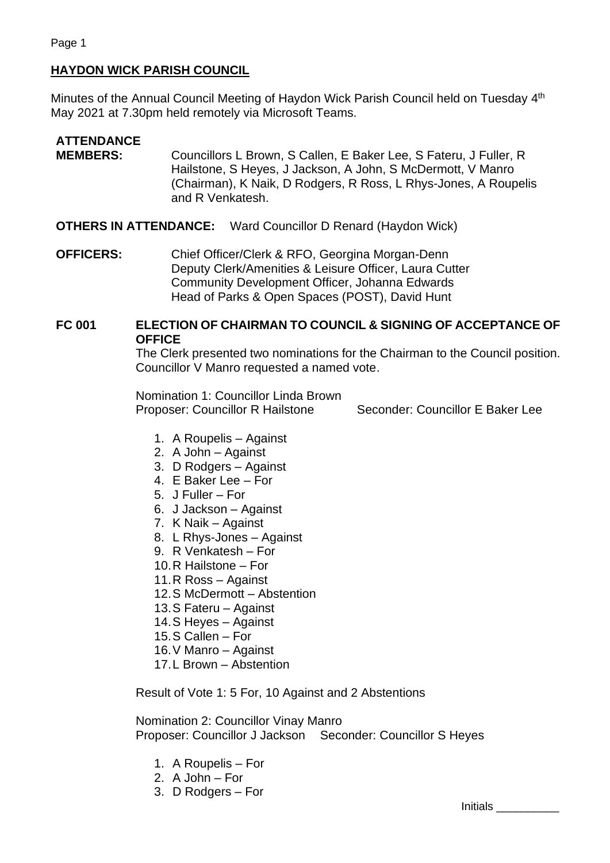## **HAYDON WICK PARISH COUNCIL**

Minutes of the Annual Council Meeting of Haydon Wick Parish Council held on Tuesday 4<sup>th</sup> May 2021 at 7.30pm held remotely via Microsoft Teams.

## **ATTENDANCE MEMBERS:** Councillors L Brown, S Callen, E Baker Lee, S Fateru, J Fuller, R Hailstone, S Heyes, J Jackson, A John, S McDermott, V Manro (Chairman), K Naik, D Rodgers, R Ross, L Rhys-Jones, A Roupelis and R Venkatesh.

**OTHERS IN ATTENDANCE:** Ward Councillor D Renard (Haydon Wick)

**OFFICERS:** Chief Officer/Clerk & RFO, Georgina Morgan-Denn Deputy Clerk/Amenities & Leisure Officer, Laura Cutter Community Development Officer, Johanna Edwards Head of Parks & Open Spaces (POST), David Hunt

## **FC 001 ELECTION OF CHAIRMAN TO COUNCIL & SIGNING OF ACCEPTANCE OF OFFICE**

The Clerk presented two nominations for the Chairman to the Council position. Councillor V Manro requested a named vote.

Nomination 1: Councillor Linda Brown Proposer: Councillor R Hailstone Seconder: Councillor E Baker Lee

- 1. A Roupelis Against
- 2. A John Against
- 3. D Rodgers Against
- 4. E Baker Lee For
- 5. J Fuller For
- 6. J Jackson Against
- 7. K Naik Against
- 8. L Rhys-Jones Against
- 9. R Venkatesh For
- 10.R Hailstone For
- 11.R Ross Against
- 12.S McDermott Abstention
- 13.S Fateru Against
- 14.S Heyes Against
- 15.S Callen For
- 16.V Manro Against
- 17.L Brown Abstention

Result of Vote 1: 5 For, 10 Against and 2 Abstentions

Nomination 2: Councillor Vinay Manro Proposer: Councillor J Jackson Seconder: Councillor S Heyes

- 1. A Roupelis For
- 2. A John For
- 3. D Rodgers For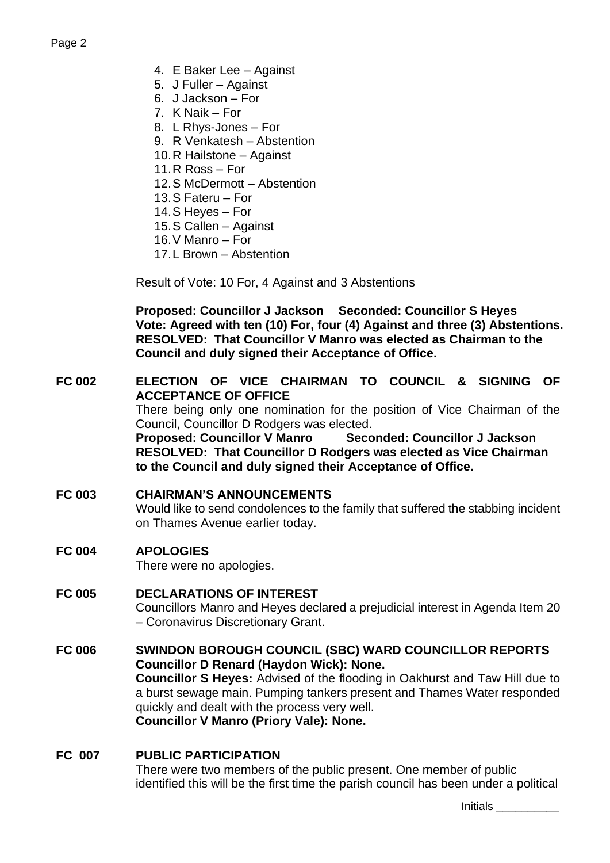- 4. E Baker Lee Against
- 5. J Fuller Against
- 6. J Jackson For
- 7. K Naik For
- 8. L Rhys-Jones For
- 9. R Venkatesh Abstention
- 10.R Hailstone Against
- 11.R Ross For
- 12.S McDermott Abstention
- 13.S Fateru For
- 14.S Heyes For
- 15.S Callen Against
- 16.V Manro For
- 17.L Brown Abstention

Result of Vote: 10 For, 4 Against and 3 Abstentions

**Proposed: Councillor J Jackson Seconded: Councillor S Heyes Vote: Agreed with ten (10) For, four (4) Against and three (3) Abstentions. RESOLVED: That Councillor V Manro was elected as Chairman to the Council and duly signed their Acceptance of Office.**

### **FC 002 ELECTION OF VICE CHAIRMAN TO COUNCIL & SIGNING OF ACCEPTANCE OF OFFICE**

There being only one nomination for the position of Vice Chairman of the Council, Councillor D Rodgers was elected.

**Proposed: Councillor V Manro Seconded: Councillor J Jackson RESOLVED: That Councillor D Rodgers was elected as Vice Chairman to the Council and duly signed their Acceptance of Office.**

### **FC 003 CHAIRMAN'S ANNOUNCEMENTS**

Would like to send condolences to the family that suffered the stabbing incident on Thames Avenue earlier today.

**FC 004 APOLOGIES**

There were no apologies.

## **FC 005 DECLARATIONS OF INTEREST** Councillors Manro and Heyes declared a prejudicial interest in Agenda Item 20 – Coronavirus Discretionary Grant.

### **FC 006 SWINDON BOROUGH COUNCIL (SBC) WARD COUNCILLOR REPORTS Councillor D Renard (Haydon Wick): None. Councillor S Heyes:** Advised of the flooding in Oakhurst and Taw Hill due to a burst sewage main. Pumping tankers present and Thames Water responded quickly and dealt with the process very well. **Councillor V Manro (Priory Vale): None.**

### **FC 007 PUBLIC PARTICIPATION**

There were two members of the public present. One member of public identified this will be the first time the parish council has been under a political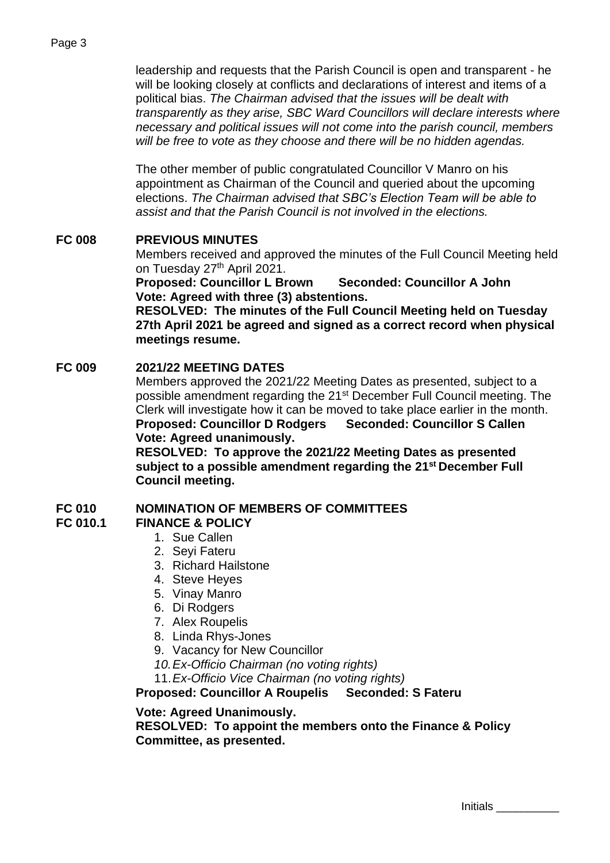#### Page 3

leadership and requests that the Parish Council is open and transparent - he will be looking closely at conflicts and declarations of interest and items of a political bias. *The Chairman advised that the issues will be dealt with transparently as they arise, SBC Ward Councillors will declare interests where necessary and political issues will not come into the parish council, members will be free to vote as they choose and there will be no hidden agendas.*

The other member of public congratulated Councillor V Manro on his appointment as Chairman of the Council and queried about the upcoming elections. *The Chairman advised that SBC's Election Team will be able to assist and that the Parish Council is not involved in the elections.*

## **FC 008 PREVIOUS MINUTES**

Members received and approved the minutes of the Full Council Meeting held on Tuesday 27<sup>th</sup> April 2021.

**Proposed: Councillor L Brown Seconded: Councillor A John Vote: Agreed with three (3) abstentions.**

**RESOLVED: The minutes of the Full Council Meeting held on Tuesday 27th April 2021 be agreed and signed as a correct record when physical meetings resume.**

### **FC 009 2021/22 MEETING DATES**

Members approved the 2021/22 Meeting Dates as presented, subject to a possible amendment regarding the 21<sup>st</sup> December Full Council meeting. The Clerk will investigate how it can be moved to take place earlier in the month. **Proposed: Councillor D Rodgers Seconded: Councillor S Callen Vote: Agreed unanimously.**

**RESOLVED: To approve the 2021/22 Meeting Dates as presented subject to a possible amendment regarding the 21st December Full Council meeting.**

### **FC 010 NOMINATION OF MEMBERS OF COMMITTEES**

- **FC 010.1 FINANCE & POLICY**
	- 1. Sue Callen
	- 2. Seyi Fateru
	- 3. Richard Hailstone
	- 4. Steve Heyes
	- 5. Vinay Manro
	- 6. Di Rodgers
	- 7. Alex Roupelis
	- 8. Linda Rhys-Jones
	- 9. Vacancy for New Councillor
	- *10.Ex-Officio Chairman (no voting rights)*

11.*Ex-Officio Vice Chairman (no voting rights)*

**Proposed: Councillor A Roupelis Seconded: S Fateru**

#### **Vote: Agreed Unanimously.**

**RESOLVED: To appoint the members onto the Finance & Policy Committee, as presented.**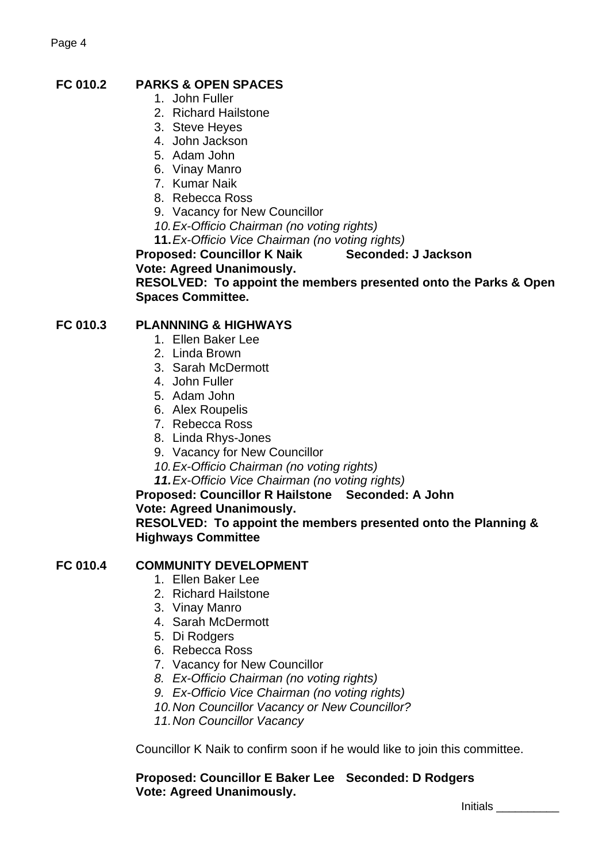# **FC 010.2 PARKS & OPEN SPACES**

- 1. John Fuller
- 2. Richard Hailstone
- 3. Steve Heyes
- 4. John Jackson
- 5. Adam John
- 6. Vinay Manro
- 7. Kumar Naik
- 8. Rebecca Ross
- 9. Vacancy for New Councillor
- *10.Ex-Officio Chairman (no voting rights)*
- **11.***Ex-Officio Vice Chairman (no voting rights)*

**Proposed: Councillor K Naik Seconded: J Jackson**

**Vote: Agreed Unanimously.** 

**RESOLVED: To appoint the members presented onto the Parks & Open Spaces Committee.** 

## **FC 010.3 PLANNNING & HIGHWAYS**

- 1. Ellen Baker Lee
- 2. Linda Brown
- 3. Sarah McDermott
- 4. John Fuller
- 5. Adam John
- 6. Alex Roupelis
- 7. Rebecca Ross
- 8. Linda Rhys-Jones
- 9. Vacancy for New Councillor
- *10.Ex-Officio Chairman (no voting rights)*
- *11.Ex-Officio Vice Chairman (no voting rights)*

## **Proposed: Councillor R Hailstone Seconded: A John**

### **Vote: Agreed Unanimously.**

**RESOLVED: To appoint the members presented onto the Planning & Highways Committee**

### **FC 010.4 COMMUNITY DEVELOPMENT**

- 1. Ellen Baker Lee
- 2. Richard Hailstone
- 3. Vinay Manro
- 4. Sarah McDermott
- 5. Di Rodgers
- 6. Rebecca Ross
- 7. Vacancy for New Councillor
- *8. Ex-Officio Chairman (no voting rights)*
- *9. Ex-Officio Vice Chairman (no voting rights)*
- *10.Non Councillor Vacancy or New Councillor?*
- *11.Non Councillor Vacancy*

Councillor K Naik to confirm soon if he would like to join this committee.

**Proposed: Councillor E Baker Lee Seconded: D Rodgers Vote: Agreed Unanimously.**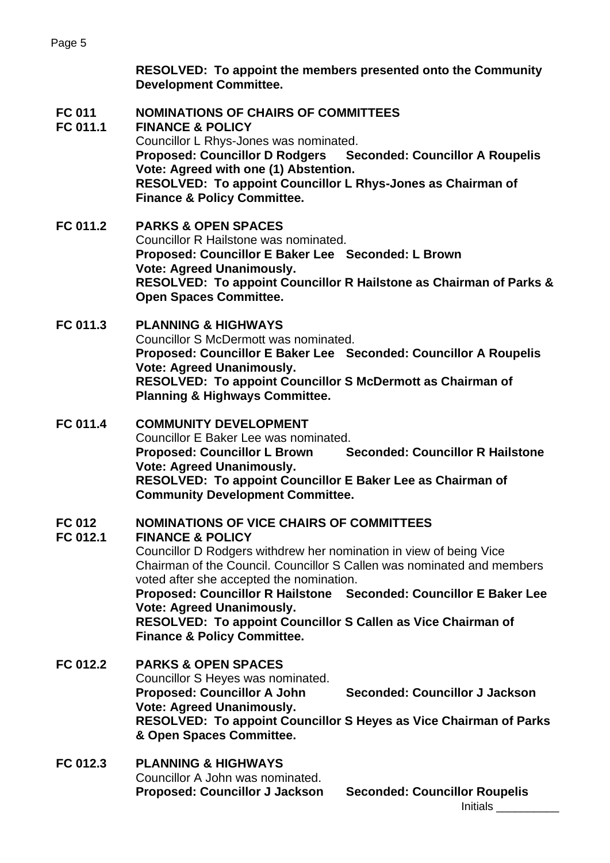**RESOLVED: To appoint the members presented onto the Community Development Committee.**

## **FC 011 NOMINATIONS OF CHAIRS OF COMMITTEES**

**FC 011.1 FINANCE & POLICY** Councillor L Rhys-Jones was nominated. **Proposed: Councillor D Rodgers Seconded: Councillor A Roupelis Vote: Agreed with one (1) Abstention. RESOLVED: To appoint Councillor L Rhys-Jones as Chairman of Finance & Policy Committee.**

**FC 011.2 PARKS & OPEN SPACES** Councillor R Hailstone was nominated. **Proposed: Councillor E Baker Lee Seconded: L Brown Vote: Agreed Unanimously. RESOLVED: To appoint Councillor R Hailstone as Chairman of Parks & Open Spaces Committee.**

### **FC 011.3 PLANNING & HIGHWAYS**

Councillor S McDermott was nominated. **Proposed: Councillor E Baker Lee Seconded: Councillor A Roupelis Vote: Agreed Unanimously. RESOLVED: To appoint Councillor S McDermott as Chairman of Planning & Highways Committee.**

## **FC 011.4 COMMUNITY DEVELOPMENT** Councillor E Baker Lee was nominated. **Proposed: Councillor L Brown Seconded: Councillor R Hailstone Vote: Agreed Unanimously. RESOLVED: To appoint Councillor E Baker Lee as Chairman of Community Development Committee.**

## **FC 012 NOMINATIONS OF VICE CHAIRS OF COMMITTEES**

### **FC 012.1 FINANCE & POLICY**

Councillor D Rodgers withdrew her nomination in view of being Vice Chairman of the Council. Councillor S Callen was nominated and members voted after she accepted the nomination.

**Proposed: Councillor R Hailstone Seconded: Councillor E Baker Lee Vote: Agreed Unanimously.** 

**RESOLVED: To appoint Councillor S Callen as Vice Chairman of Finance & Policy Committee.**

- **FC 012.2 PARKS & OPEN SPACES** Councillor S Heyes was nominated. **Proposed: Councillor A John Seconded: Councillor J Jackson Vote: Agreed Unanimously. RESOLVED: To appoint Councillor S Heyes as Vice Chairman of Parks & Open Spaces Committee.**
- **FC 012.3 PLANNING & HIGHWAYS** Councillor A John was nominated. **Proposed: Councillor J Jackson Seconded: Councillor Roupelis**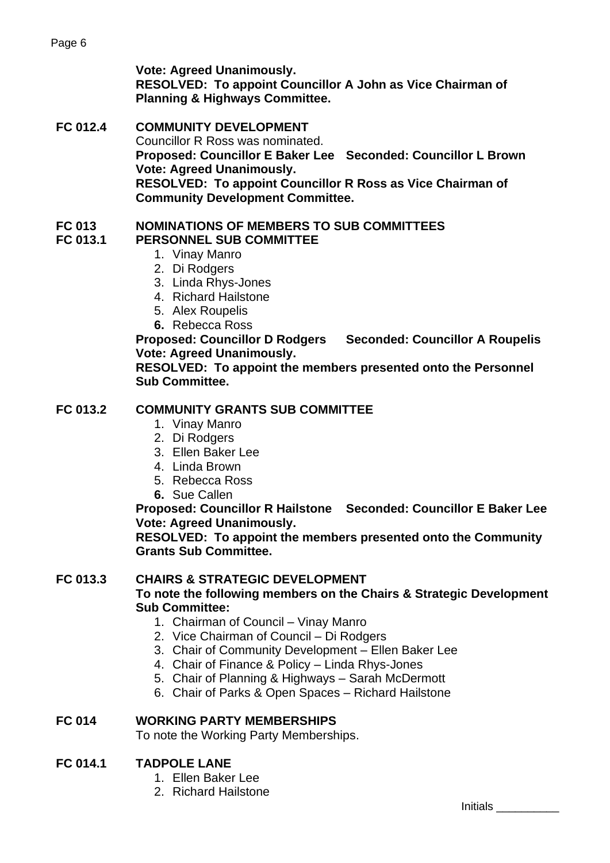**Vote: Agreed Unanimously.** 

**RESOLVED: To appoint Councillor A John as Vice Chairman of Planning & Highways Committee.**

**FC 012.4 COMMUNITY DEVELOPMENT** Councillor R Ross was nominated. **Proposed: Councillor E Baker Lee Seconded: Councillor L Brown Vote: Agreed Unanimously. RESOLVED: To appoint Councillor R Ross as Vice Chairman of Community Development Committee.**

## **FC 013 NOMINATIONS OF MEMBERS TO SUB COMMITTEES**

# **FC 013.1 PERSONNEL SUB COMMITTEE**

- 1. Vinay Manro
- 2. Di Rodgers
- 3. Linda Rhys-Jones
- 4. Richard Hailstone
- 5. Alex Roupelis
- **6.** Rebecca Ross

**Proposed: Councillor D Rodgers Seconded: Councillor A Roupelis Vote: Agreed Unanimously.** 

**RESOLVED: To appoint the members presented onto the Personnel Sub Committee.**

## **FC 013.2 COMMUNITY GRANTS SUB COMMITTEE**

- 1. Vinay Manro
- 2. Di Rodgers
- 3. Ellen Baker Lee
- 4. Linda Brown
- 5. Rebecca Ross
- **6.** Sue Callen

**Proposed: Councillor R Hailstone Seconded: Councillor E Baker Lee Vote: Agreed Unanimously.** 

**RESOLVED: To appoint the members presented onto the Community Grants Sub Committee.**

## **FC 013.3 CHAIRS & STRATEGIC DEVELOPMENT**

**To note the following members on the Chairs & Strategic Development Sub Committee:**

- 1. Chairman of Council Vinay Manro
- 2. Vice Chairman of Council Di Rodgers
- 3. Chair of Community Development Ellen Baker Lee
- 4. Chair of Finance & Policy Linda Rhys-Jones
- 5. Chair of Planning & Highways Sarah McDermott
- 6. Chair of Parks & Open Spaces Richard Hailstone

## **FC 014 WORKING PARTY MEMBERSHIPS**

To note the Working Party Memberships.

## **FC 014.1 TADPOLE LANE**

- 1. Ellen Baker Lee
- 2. Richard Hailstone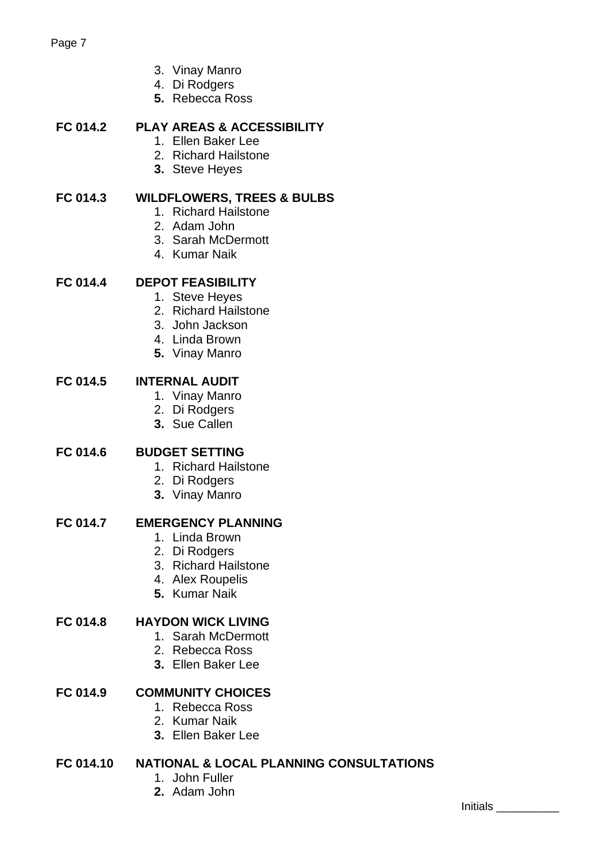- 3. Vinay Manro
- 4. Di Rodgers
- **5.** Rebecca Ross

## **FC 014.2 PLAY AREAS & ACCESSIBILITY**

- 1. Ellen Baker Lee
- 2. Richard Hailstone
- **3.** Steve Heyes

## **FC 014.3 WILDFLOWERS, TREES & BULBS**

- 1. Richard Hailstone
- 2. Adam John
- 3. Sarah McDermott
- 4. Kumar Naik

# **FC 014.4 DEPOT FEASIBILITY**

- 1. Steve Heyes
- 2. Richard Hailstone
- 3. John Jackson
- 4. Linda Brown
- **5.** Vinay Manro

## **FC 014.5 INTERNAL AUDIT**

- 1. Vinay Manro
- 2. Di Rodgers
- **3.** Sue Callen

## **FC 014.6 BUDGET SETTING**

- 1. Richard Hailstone
- 2. Di Rodgers
- **3.** Vinay Manro

### **FC 014.7 EMERGENCY PLANNING**

- 1. Linda Brown
- 2. Di Rodgers
- 3. Richard Hailstone
- 4. Alex Roupelis
- **5.** Kumar Naik

## **FC 014.8 HAYDON WICK LIVING**

- 1. Sarah McDermott
- 2. Rebecca Ross
- **3.** Ellen Baker Lee

## **FC 014.9 COMMUNITY CHOICES**

- 1. Rebecca Ross
- 2. Kumar Naik
- **3.** Ellen Baker Lee

## **FC 014.10 NATIONAL & LOCAL PLANNING CONSULTATIONS**

- 1. John Fuller
- **2.** Adam John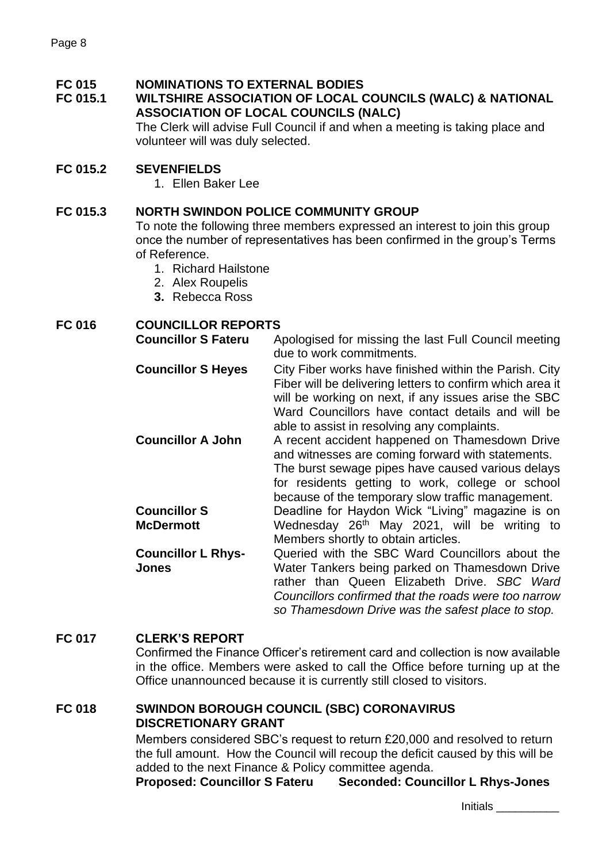### **FC 015 NOMINATIONS TO EXTERNAL BODIES**

### **FC 015.1 WILTSHIRE ASSOCIATION OF LOCAL COUNCILS (WALC) & NATIONAL ASSOCIATION OF LOCAL COUNCILS (NALC)**

The Clerk will advise Full Council if and when a meeting is taking place and volunteer will was duly selected.

## **FC 015.2 SEVENFIELDS**

1. Ellen Baker Lee

## **FC 015.3 NORTH SWINDON POLICE COMMUNITY GROUP**

To note the following three members expressed an interest to join this group once the number of representatives has been confirmed in the group's Terms of Reference.

- 1. Richard Hailstone
- 2. Alex Roupelis
- **3.** Rebecca Ross

### **FC 016 COUNCILLOR REPORTS**

| <b>Councillor S Fateru</b>         | Apologised for missing the last Full Council meeting                                                                                                                                                                                                                            |
|------------------------------------|---------------------------------------------------------------------------------------------------------------------------------------------------------------------------------------------------------------------------------------------------------------------------------|
|                                    | due to work commitments.                                                                                                                                                                                                                                                        |
| <b>Councillor S Heyes</b>          | City Fiber works have finished within the Parish. City<br>Fiber will be delivering letters to confirm which area it<br>will be working on next, if any issues arise the SBC<br>Ward Councillors have contact details and will be<br>able to assist in resolving any complaints. |
| <b>Councillor A John</b>           | A recent accident happened on Thamesdown Drive<br>and witnesses are coming forward with statements.<br>The burst sewage pipes have caused various delays<br>for residents getting to work, college or school<br>because of the temporary slow traffic management.               |
| <b>Councillor S</b>                | Deadline for Haydon Wick "Living" magazine is on                                                                                                                                                                                                                                |
| <b>McDermott</b>                   | Wednesday 26 <sup>th</sup> May 2021, will be writing to                                                                                                                                                                                                                         |
|                                    | Members shortly to obtain articles.                                                                                                                                                                                                                                             |
| <b>Councillor L Rhys-</b><br>Jones | Queried with the SBC Ward Councillors about the<br>Water Tankers being parked on Thamesdown Drive<br>rather than Queen Elizabeth Drive. SBC Ward<br>Councillors confirmed that the roads were too narrow<br>so Thamesdown Drive was the safest place to stop.                   |

### **FC 017 CLERK'S REPORT**

Confirmed the Finance Officer's retirement card and collection is now available in the office. Members were asked to call the Office before turning up at the Office unannounced because it is currently still closed to visitors.

## **FC 018 SWINDON BOROUGH COUNCIL (SBC) CORONAVIRUS DISCRETIONARY GRANT**

Members considered SBC's request to return £20,000 and resolved to return the full amount. How the Council will recoup the deficit caused by this will be added to the next Finance & Policy committee agenda.

**Proposed: Councillor S Fateru Seconded: Councillor L Rhys-Jones**